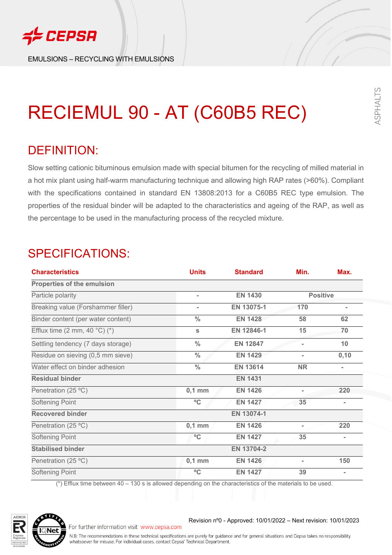

EMULSIONS – RECYCLING WITH EMULSIONS

# RECIEMUL 90 - AT (C60B5 REC)

## DEFINITION:

Slow setting cationic bituminous emulsion made with special bitumen for the recycling of milled material in a hot mix plant using half-warm manufacturing technique and allowing high RAP rates (>60%). Compliant with the specifications contained in standard EN 13808:2013 for a C60B5 REC type emulsion. The properties of the residual binder will be adapted to the characteristics and ageing of the RAP, as well as the percentage to be used in the manufacturing process of the recycled mixture.

## SPECIFICATIONS:

| <b>Characteristics</b>                         | <b>Units</b>   | <b>Standard</b> | Min.            | Max.           |
|------------------------------------------------|----------------|-----------------|-----------------|----------------|
| Properties of the emulsion                     |                |                 |                 |                |
| Particle polarity                              | $\blacksquare$ | <b>EN 1430</b>  | <b>Positive</b> |                |
| Breaking value (Forshammer filler)             | $\blacksquare$ | EN 13075-1      | 170             |                |
| Binder content (per water content)             | $\frac{0}{0}$  | <b>EN 1428</b>  | 58              | 62             |
| Efflux time $(2 \text{ mm}, 40 \degree C)$ (*) | S              | EN 12846-1      | 15              | 70             |
| Settling tendency (7 days storage)             | $\frac{0}{0}$  | <b>EN 12847</b> |                 | 10             |
| Residue on sieving (0,5 mm sieve)              | $\frac{0}{0}$  | <b>EN 1429</b>  | ÷.              | 0,10           |
| Water effect on binder adhesion                | $\frac{0}{0}$  | <b>EN 13614</b> | <b>NR</b>       | Ξ.             |
| <b>Residual binder</b>                         |                | <b>EN 1431</b>  |                 |                |
| Penetration (25 °C)                            | $0,1$ mm       | <b>EN 1426</b>  |                 | 220            |
| Softening Point                                | °C             | <b>EN 1427</b>  | 35              | $\blacksquare$ |
| <b>Recovered binder</b>                        |                | EN 13074-1      |                 |                |
| Penetration (25 °C)                            | $0,1$ mm       | <b>EN 1426</b>  | $\blacksquare$  | 220            |
| <b>Softening Point</b>                         | $^{\circ}$ C   | <b>EN 1427</b>  | 35              | $\blacksquare$ |
| <b>Stabilised binder</b>                       |                | EN 13704-2      |                 |                |
| Penetration (25 °C)                            | $0,1$ mm       | <b>EN 1426</b>  | $\overline{a}$  | 150            |
| <b>Softening Point</b>                         | $^{\circ}$ C   | <b>EN 1427</b>  | 39              |                |

(\*) Efflux time between 40 – 130 s is allowed depending on the characteristics of the materials to be used.

For further information visit www.cepsa.com



Revision nº0 - Approved: 10/01/2022 – Next revision: 10/01/2023

SPHALTS